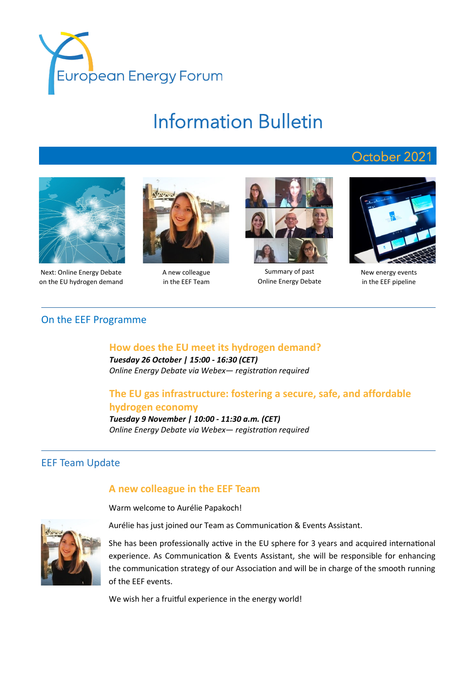

# Information Bulletin



Next: Online Energy Debate on the EU hydrogen demand



A new colleague in the EEF Team



Summary of past Online Energy Debate



October 2021

New energy events in the EEF pipeline

#### On the EEF Programme

#### **How does the EU meet its hydrogen demand?**

*Tuesday 26 October | 15:00 - 16:30 (CET) Online Energy Debate via Webex— registration required*

### **The EU gas infrastructure: fostering a secure, safe, and affordable hydrogen economy**

*Tuesday 9 November | 10:00 - 11:30 a.m. (CET) Online Energy Debate via Webex— registration required*

## EEF Team Update

#### **A new colleague in the EEF Team**

Warm welcome to Aurélie Papakoch!

Aurélie has just joined our Team as Communication & Events Assistant.



We wish her a fruitful experience in the energy world!

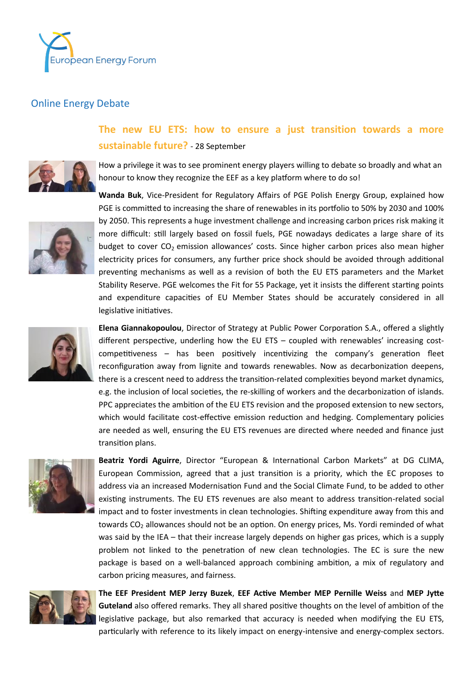

## Online Energy Debate

## **The new EU ETS: how to ensure a just transition towards a more sustainable future?** - 28 September



How a privilege it was to see prominent energy players willing to debate so broadly and what an honour to know they recognize the EEF as a key platform where to do so!



**Wanda Buk**, Vice-President for Regulatory Affairs of PGE Polish Energy Group, explained how PGE is committed to increasing the share of renewables in its portfolio to 50% by 2030 and 100% by 2050. This represents a huge investment challenge and increasing carbon prices risk making it more difficult: still largely based on fossil fuels, PGE nowadays dedicates a large share of its budget to cover  $CO<sub>2</sub>$  emission allowances' costs. Since higher carbon prices also mean higher electricity prices for consumers, any further price shock should be avoided through additional preventing mechanisms as well as a revision of both the EU ETS parameters and the Market Stability Reserve. PGE welcomes the Fit for 55 Package, yet it insists the different starting points and expenditure capacities of EU Member States should be accurately considered in all legislative initiatives.



**Elena Giannakopoulou**, Director of Strategy at Public Power Corporation S.A., offered a slightly different perspective, underling how the EU ETS – coupled with renewables' increasing costcompetitiveness – has been positively incentivizing the company's generation fleet reconfiguration away from lignite and towards renewables. Now as decarbonization deepens, there is a crescent need to address the transition-related complexities beyond market dynamics, e.g. the inclusion of local societies, the re-skilling of workers and the decarbonization of islands. PPC appreciates the ambition of the EU ETS revision and the proposed extension to new sectors, which would facilitate cost-effective emission reduction and hedging. Complementary policies are needed as well, ensuring the EU ETS revenues are directed where needed and finance just transition plans.



**Beatriz Yordi Aguirre**, Director "European & International Carbon Markets" at DG CLIMA, European Commission, agreed that a just transition is a priority, which the EC proposes to address via an increased Modernisation Fund and the Social Climate Fund, to be added to other existing instruments. The EU ETS revenues are also meant to address transition-related social impact and to foster investments in clean technologies. Shifting expenditure away from this and towards  $CO<sub>2</sub>$  allowances should not be an option. On energy prices, Ms. Yordi reminded of what was said by the IEA – that their increase largely depends on higher gas prices, which is a supply problem not linked to the penetration of new clean technologies. The EC is sure the new package is based on a well-balanced approach combining ambition, a mix of regulatory and carbon pricing measures, and fairness.



**The EEF President MEP Jerzy Buzek**, **EEF Active Member MEP Pernille Weiss** and **MEP Jytte Guteland** also offered remarks. They all shared positive thoughts on the level of ambition of the legislative package, but also remarked that accuracy is needed when modifying the EU ETS, particularly with reference to its likely impact on energy-intensive and energy-complex sectors.